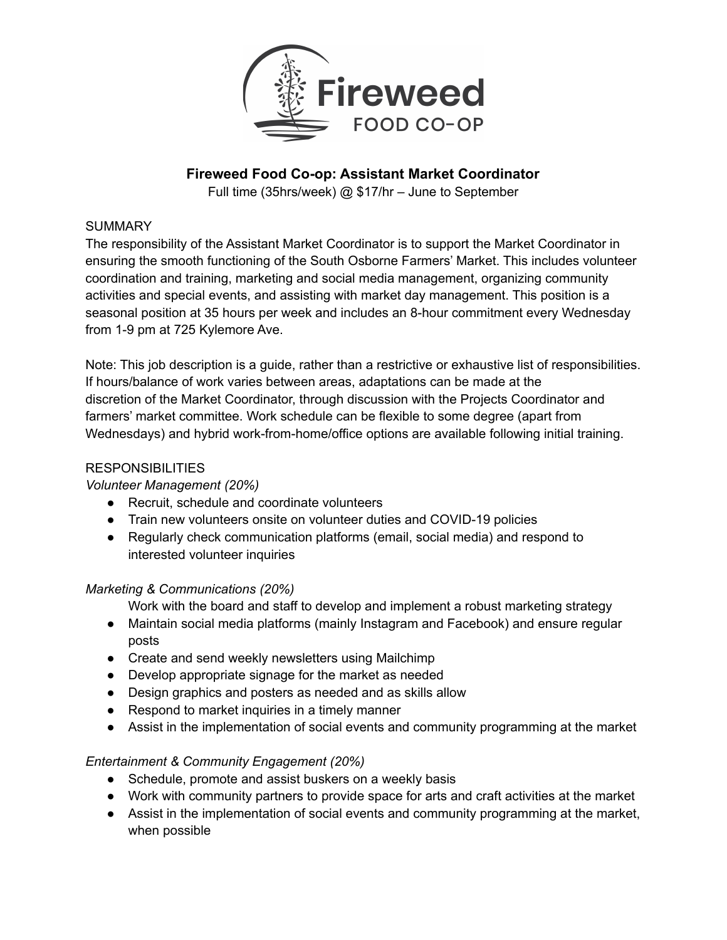

# **Fireweed Food Co-op: Assistant Market Coordinator**

Full time (35hrs/week) @ \$17/hr – June to September

#### **SUMMARY**

The responsibility of the Assistant Market Coordinator is to support the Market Coordinator in ensuring the smooth functioning of the South Osborne Farmers' Market. This includes volunteer coordination and training, marketing and social media management, organizing community activities and special events, and assisting with market day management. This position is a seasonal position at 35 hours per week and includes an 8-hour commitment every Wednesday from 1-9 pm at 725 Kylemore Ave.

Note: This job description is a guide, rather than a restrictive or exhaustive list of responsibilities. If hours/balance of work varies between areas, adaptations can be made at the discretion of the Market Coordinator, through discussion with the Projects Coordinator and farmers' market committee. Work schedule can be flexible to some degree (apart from Wednesdays) and hybrid work-from-home/office options are available following initial training.

#### **RESPONSIBILITIES**

## *Volunteer Management (20%)*

- Recruit, schedule and coordinate volunteers
- Train new volunteers onsite on volunteer duties and COVID-19 policies
- Regularly check communication platforms (email, social media) and respond to interested volunteer inquiries

## *Marketing & Communications (20%)*

Work with the board and staff to develop and implement a robust marketing strategy

- Maintain social media platforms (mainly Instagram and Facebook) and ensure regular posts
- Create and send weekly newsletters using Mailchimp
- Develop appropriate signage for the market as needed
- Design graphics and posters as needed and as skills allow
- Respond to market inquiries in a timely manner
- Assist in the implementation of social events and community programming at the market

## *Entertainment & Community Engagement (20%)*

- Schedule, promote and assist buskers on a weekly basis
- Work with community partners to provide space for arts and craft activities at the market
- Assist in the implementation of social events and community programming at the market, when possible